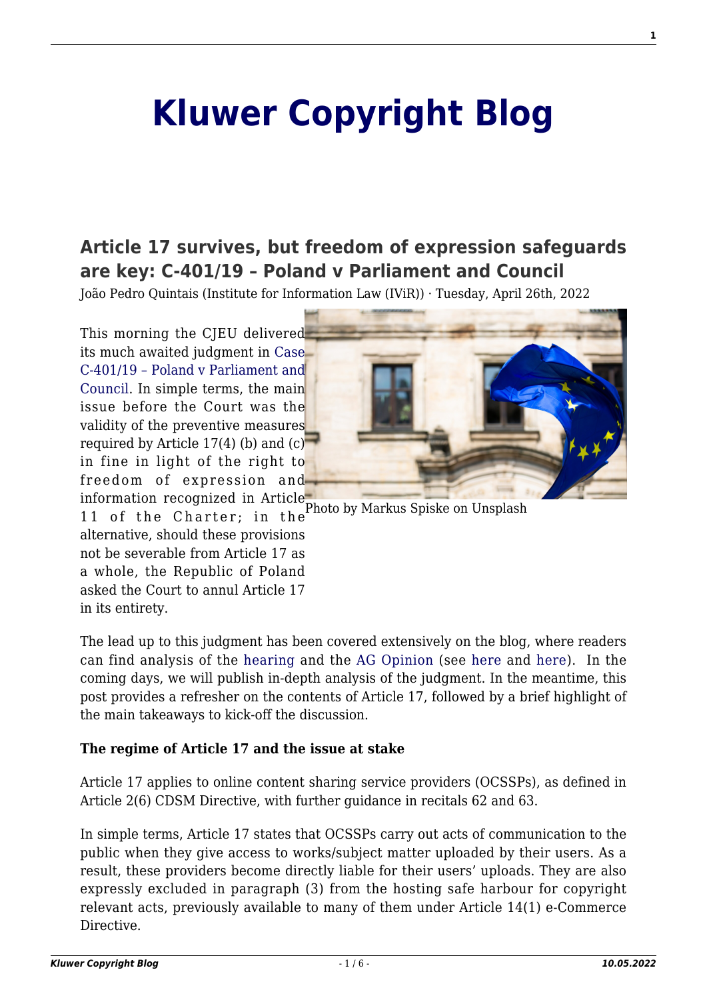# **[Kluwer Copyright Blog](http://copyrightblog.kluweriplaw.com/)**

# **[Article 17 survives, but freedom of expression safeguards](http://copyrightblog.kluweriplaw.com/2022/04/26/article-17-survives-but-freedom-of-expression-safeguards-are-key-c-401-19-poland-v-parliament-and-council/) [are key: C-401/19 – Poland v Parliament and Council](http://copyrightblog.kluweriplaw.com/2022/04/26/article-17-survives-but-freedom-of-expression-safeguards-are-key-c-401-19-poland-v-parliament-and-council/)**

João Pedro Quintais (Institute for Information Law (IViR)) · Tuesday, April 26th, 2022

This morning the CJEU delivered its much awaited judgment in [Case](https://curia.europa.eu/juris/document/document.jsf?text=&docid=258261&pageIndex=0&doclang=en&mode=req&dir=&occ=first&part=1&cid=10742191) [C-401/19 – Poland v Parliament and](https://curia.europa.eu/juris/document/document.jsf?text=&docid=258261&pageIndex=0&doclang=en&mode=req&dir=&occ=first&part=1&cid=10742191) [Council.](https://curia.europa.eu/juris/document/document.jsf?text=&docid=258261&pageIndex=0&doclang=en&mode=req&dir=&occ=first&part=1&cid=10742191) In simple terms, the main issue before the Court was the validity of the preventive measures required by Article 17(4) (b) and  $(c)$ <sup> $\overline{\phantom{a}}$ </sup> in fine in light of the right to freedom of expression and information recognized in Article



11 of the Charter; in the alternative, should these provisions not be severable from Article 17 as a whole, the Republic of Poland asked the Court to annul Article 17 in its entirety.

The lead up to this judgment has been covered extensively on the blog, where readers can find analysis of the [hearing](http://copyrightblog.kluweriplaw.com/2020/11/11/cjeu-hearing-in-the-polish-challenge-to-article-17-not-even-the-supporters-of-the-provision-agree-on-how-it-should-work/) and the [AG Opinion](https://curia.europa.eu/juris/document/document.jsf?text=&docid=244201&pageIndex=0&doclang=en&mode=lst&dir=&occ=first&part=1&cid=10727781) (see [here](http://copyrightblog.kluweriplaw.com/2021/07/26/what-member-states-can-learn-from-the-ag-opinion-on-article-17/) and [here](http://copyrightblog.kluweriplaw.com/2021/07/20/on-the-necessity-of-filtering-online-content-and-its-limitations-ag-saugmandsgaard-oe-outlines-the-borders-of-article-17-cdsm-directive/)). In the coming days, we will publish in-depth analysis of the judgment. In the meantime, this post provides a refresher on the contents of Article 17, followed by a brief highlight of the main takeaways to kick-off the discussion.

#### **The regime of Article 17 and the issue at stake**

Article 17 applies to online content sharing service providers (OCSSPs), as defined in Article 2(6) CDSM Directive, with further guidance in recitals 62 and 63.

In simple terms, Article 17 states that OCSSPs carry out acts of communication to the public when they give access to works/subject matter uploaded by their users. As a result, these providers become directly liable for their users' uploads. They are also expressly excluded in paragraph (3) from the hosting safe harbour for copyright relevant acts, previously available to many of them under Article 14(1) e-Commerce Directive.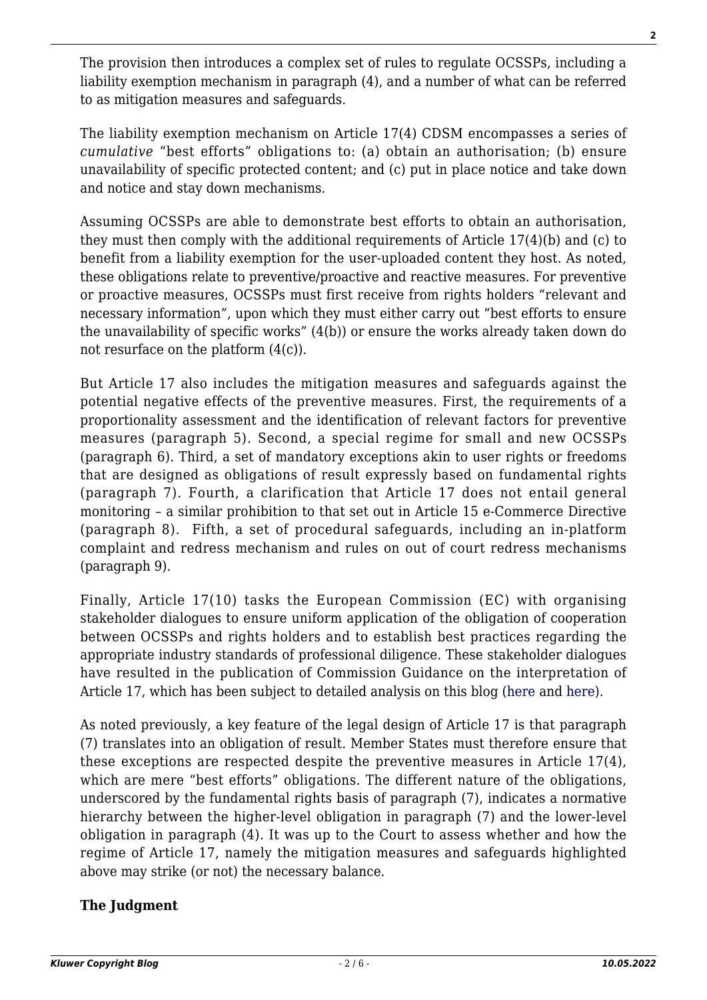The provision then introduces a complex set of rules to regulate OCSSPs, including a liability exemption mechanism in paragraph (4), and a number of what can be referred to as mitigation measures and safeguards.

The liability exemption mechanism on Article 17(4) CDSM encompasses a series of *cumulative* "best efforts" obligations to: (a) obtain an authorisation; (b) ensure unavailability of specific protected content; and (c) put in place notice and take down and notice and stay down mechanisms.

Assuming OCSSPs are able to demonstrate best efforts to obtain an authorisation, they must then comply with the additional requirements of Article 17(4)(b) and (c) to benefit from a liability exemption for the user-uploaded content they host. As noted, these obligations relate to preventive/proactive and reactive measures. For preventive or proactive measures, OCSSPs must first receive from rights holders "relevant and necessary information", upon which they must either carry out "best efforts to ensure the unavailability of specific works" (4(b)) or ensure the works already taken down do not resurface on the platform (4(c)).

But Article 17 also includes the mitigation measures and safeguards against the potential negative effects of the preventive measures. First, the requirements of a proportionality assessment and the identification of relevant factors for preventive measures (paragraph 5). Second, a special regime for small and new OCSSPs (paragraph 6). Third, a set of mandatory exceptions akin to user rights or freedoms that are designed as obligations of result expressly based on fundamental rights (paragraph 7). Fourth, a clarification that Article 17 does not entail general monitoring – a similar prohibition to that set out in Article 15 e-Commerce Directive (paragraph 8). Fifth, a set of procedural safeguards, including an in-platform complaint and redress mechanism and rules on out of court redress mechanisms (paragraph 9).

Finally, Article 17(10) tasks the European Commission (EC) with organising stakeholder dialogues to ensure uniform application of the obligation of cooperation between OCSSPs and rights holders and to establish best practices regarding the appropriate industry standards of professional diligence. These stakeholder dialogues have resulted in the publication of Commission Guidance on the interpretation of Article 17, which has been subject to detailed analysis on this blog ([here](http://copyrightblog.kluweriplaw.com/2021/06/10/commissions-guidance-on-art-17-cdsm-directive-the-authorisation-dimension/) and [here](http://copyrightblog.kluweriplaw.com/2021/06/04/european-commission-back-tracks-on-user-rights-in-article-17-guidance/)).

As noted previously, a key feature of the legal design of Article 17 is that paragraph (7) translates into an obligation of result. Member States must therefore ensure that these exceptions are respected despite the preventive measures in Article 17(4), which are mere "best efforts" obligations. The different nature of the obligations, underscored by the fundamental rights basis of paragraph (7), indicates a normative hierarchy between the higher-level obligation in paragraph (7) and the lower-level obligation in paragraph (4). It was up to the Court to assess whether and how the regime of Article 17, namely the mitigation measures and safeguards highlighted above may strike (or not) the necessary balance.

## **The Judgment**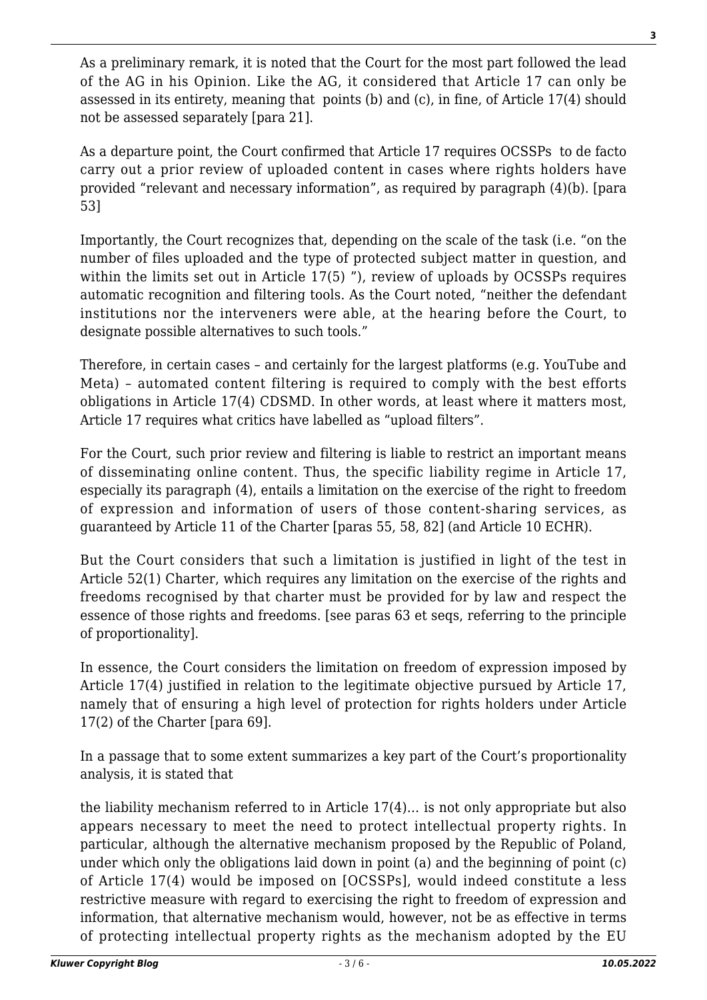As a preliminary remark, it is noted that the Court for the most part followed the lead of the AG in his Opinion. Like the AG, it considered that Article 17 can only be assessed in its entirety, meaning that points (b) and (c), in fine, of Article 17(4) should not be assessed separately [para 21].

As a departure point, the Court confirmed that Article 17 requires OCSSPs to de facto carry out a prior review of uploaded content in cases where rights holders have provided "relevant and necessary information", as required by paragraph (4)(b). [para 53]

Importantly, the Court recognizes that, depending on the scale of the task (i.e. "on the number of files uploaded and the type of protected subject matter in question, and within the limits set out in Article 17(5) "), review of uploads by OCSSPs requires automatic recognition and filtering tools. As the Court noted, "neither the defendant institutions nor the interveners were able, at the hearing before the Court, to designate possible alternatives to such tools."

Therefore, in certain cases – and certainly for the largest platforms (e.g. YouTube and Meta) – automated content filtering is required to comply with the best efforts obligations in Article 17(4) CDSMD. In other words, at least where it matters most, Article 17 requires what critics have labelled as "upload filters".

For the Court, such prior review and filtering is liable to restrict an important means of disseminating online content. Thus, the specific liability regime in Article 17, especially its paragraph (4), entails a limitation on the exercise of the right to freedom of expression and information of users of those content-sharing services, as guaranteed by Article 11 of the Charter [paras 55, 58, 82] (and Article 10 ECHR).

But the Court considers that such a limitation is justified in light of the test in Article 52(1) Charter, which requires any limitation on the exercise of the rights and freedoms recognised by that charter must be provided for by law and respect the essence of those rights and freedoms. [see paras 63 et seqs, referring to the principle of proportionality].

In essence, the Court considers the limitation on freedom of expression imposed by Article 17(4) justified in relation to the legitimate objective pursued by Article 17, namely that of ensuring a high level of protection for rights holders under Article 17(2) of the Charter [para 69].

In a passage that to some extent summarizes a key part of the Court's proportionality analysis, it is stated that

the liability mechanism referred to in Article 17(4)… is not only appropriate but also appears necessary to meet the need to protect intellectual property rights. In particular, although the alternative mechanism proposed by the Republic of Poland, under which only the obligations laid down in point (a) and the beginning of point (c) of Article 17(4) would be imposed on [OCSSPs], would indeed constitute a less restrictive measure with regard to exercising the right to freedom of expression and information, that alternative mechanism would, however, not be as effective in terms of protecting intellectual property rights as the mechanism adopted by the EU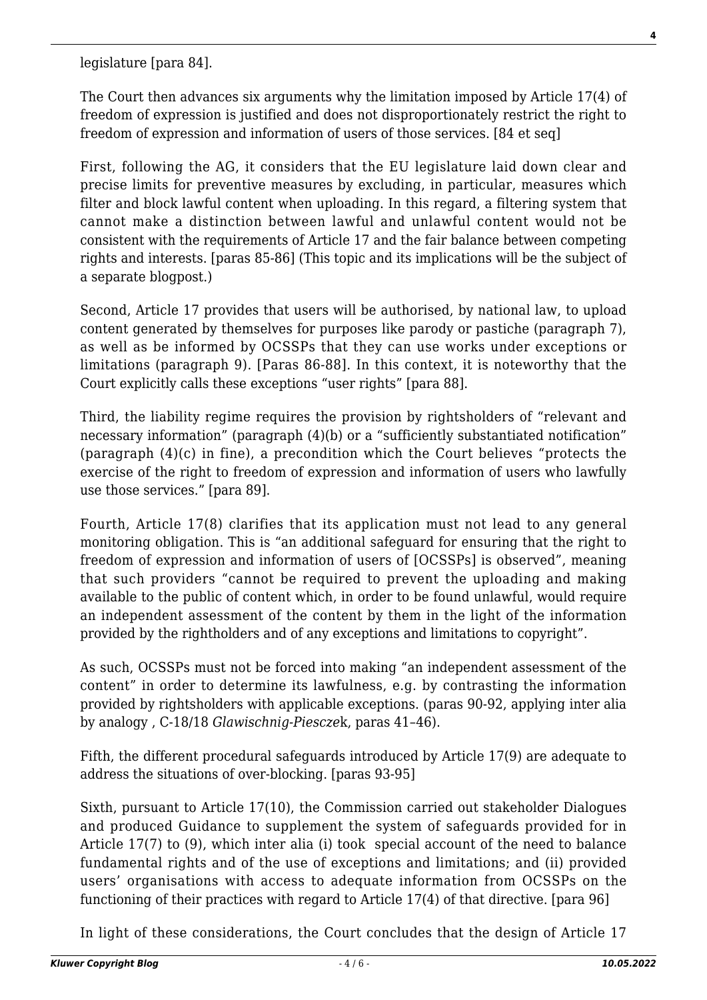legislature [para 84].

The Court then advances six arguments why the limitation imposed by Article 17(4) of freedom of expression is justified and does not disproportionately restrict the right to freedom of expression and information of users of those services. [84 et seq]

First, following the AG, it considers that the EU legislature laid down clear and precise limits for preventive measures by excluding, in particular, measures which filter and block lawful content when uploading. In this regard, a filtering system that cannot make a distinction between lawful and unlawful content would not be consistent with the requirements of Article 17 and the fair balance between competing rights and interests. [paras 85-86] (This topic and its implications will be the subject of a separate blogpost.)

Second, Article 17 provides that users will be authorised, by national law, to upload content generated by themselves for purposes like parody or pastiche (paragraph 7), as well as be informed by OCSSPs that they can use works under exceptions or limitations (paragraph 9). [Paras 86-88]. In this context, it is noteworthy that the Court explicitly calls these exceptions "user rights" [para 88].

Third, the liability regime requires the provision by rightsholders of "relevant and necessary information" (paragraph (4)(b) or a "sufficiently substantiated notification" (paragraph (4)(c) in fine), a precondition which the Court believes "protects the exercise of the right to freedom of expression and information of users who lawfully use those services." [para 89].

Fourth, Article 17(8) clarifies that its application must not lead to any general monitoring obligation. This is "an additional safeguard for ensuring that the right to freedom of expression and information of users of [OCSSPs] is observed", meaning that such providers "cannot be required to prevent the uploading and making available to the public of content which, in order to be found unlawful, would require an independent assessment of the content by them in the light of the information provided by the rightholders and of any exceptions and limitations to copyright".

As such, OCSSPs must not be forced into making "an independent assessment of the content" in order to determine its lawfulness, e.g. by contrasting the information provided by rightsholders with applicable exceptions. (paras 90-92, applying inter alia by analogy , C‑18/18 *Glawischnig-Piescze*k, paras 41–46).

Fifth, the different procedural safeguards introduced by Article 17(9) are adequate to address the situations of over-blocking. [paras 93-95]

Sixth, pursuant to Article 17(10), the Commission carried out stakeholder Dialogues and produced Guidance to supplement the system of safeguards provided for in Article 17(7) to (9), which inter alia (i) took special account of the need to balance fundamental rights and of the use of exceptions and limitations; and (ii) provided users' organisations with access to adequate information from OCSSPs on the functioning of their practices with regard to Article 17(4) of that directive. [para 96]

In light of these considerations, the Court concludes that the design of Article 17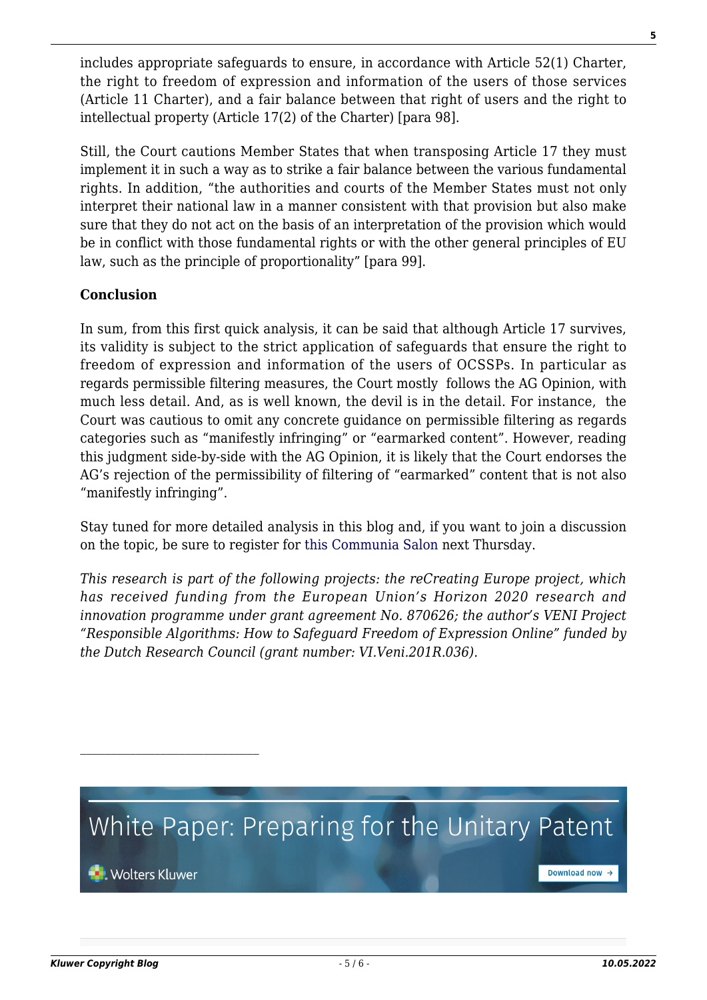includes appropriate safeguards to ensure, in accordance with Article 52(1) Charter, the right to freedom of expression and information of the users of those services (Article 11 Charter), and a fair balance between that right of users and the right to intellectual property (Article 17(2) of the Charter) [para 98].

Still, the Court cautions Member States that when transposing Article 17 they must implement it in such a way as to strike a fair balance between the various fundamental rights. In addition, "the authorities and courts of the Member States must not only interpret their national law in a manner consistent with that provision but also make sure that they do not act on the basis of an interpretation of the provision which would be in conflict with those fundamental rights or with the other general principles of EU law, such as the principle of proportionality" [para 99].

### **Conclusion**

In sum, from this first quick analysis, it can be said that although Article 17 survives, its validity is subject to the strict application of safeguards that ensure the right to freedom of expression and information of the users of OCSSPs. In particular as regards permissible filtering measures, the Court mostly follows the AG Opinion, with much less detail. And, as is well known, the devil is in the detail. For instance, the Court was cautious to omit any concrete guidance on permissible filtering as regards categories such as "manifestly infringing" or "earmarked content". However, reading this judgment side-by-side with the AG Opinion, it is likely that the Court endorses the AG's rejection of the permissibility of filtering of "earmarked" content that is not also "manifestly infringing".

Stay tuned for more detailed analysis in this blog and, if you want to join a discussion on the topic, be sure to register for [this Communia Salon](https://www.communia-association.org/2022/04/12/communia-salon-on-the-cjeu-decision-on-article-17-and-the-future-of-upload-filters-in-the-eu/) next Thursday.

*This research is part of the following projects: the reCreating Europe project, which has received funding from the European Union's Horizon 2020 research and innovation programme under grant agreement No. 870626; the author's VENI Project "Responsible Algorithms: How to Safeguard Freedom of Expression Online" funded by the Dutch Research Council (grant number: VI.Veni.201R.036).*



 $\mathcal{L}_\text{max}$